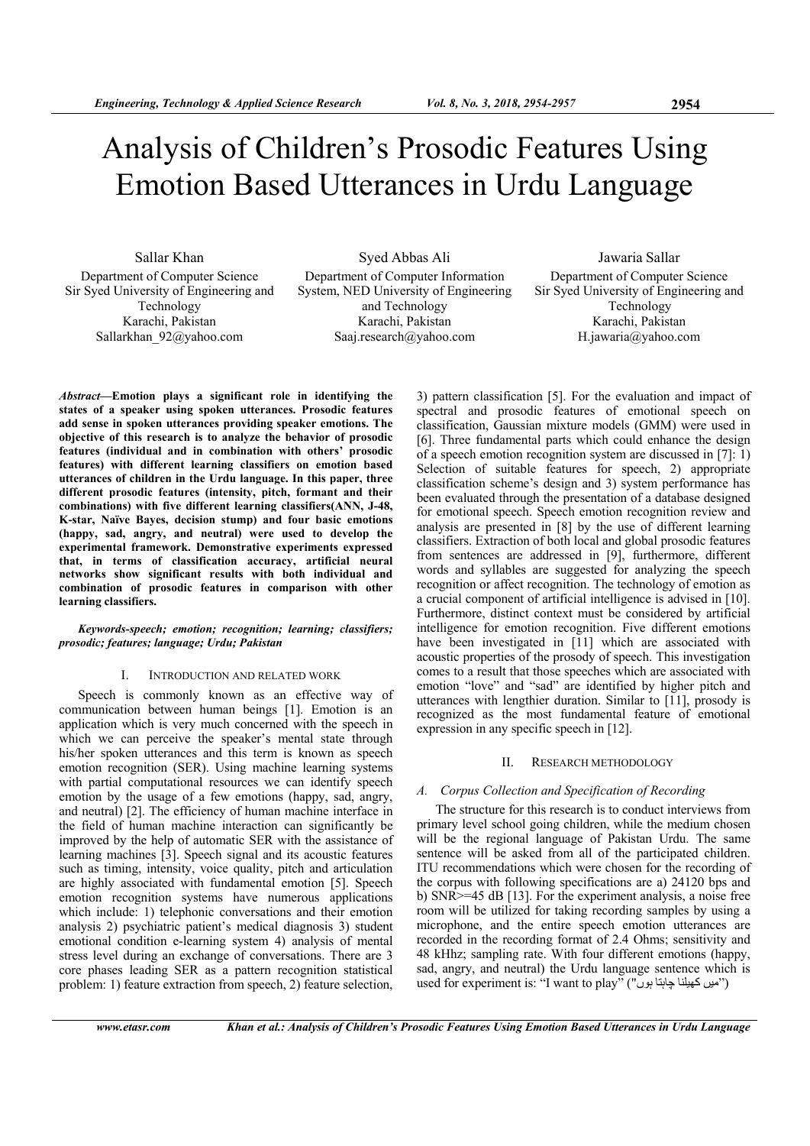# Analysis of Children's Prosodic Features Using Emotion Based Utterances in Urdu Language

Sallar Khan Department of Computer Science Sir Syed University of Engineering and Technology Karachi, Pakistan Sallarkhan\_92@yahoo.com

Syed Abbas Ali Department of Computer Information System, NED University of Engineering and Technology Karachi, Pakistan Saaj.research@yahoo.com

Jawaria Sallar Department of Computer Science Sir Syed University of Engineering and Technology Karachi, Pakistan H.jawaria@yahoo.com

*Abstract***—Emotion plays a significant role in identifying the states of a speaker using spoken utterances. Prosodic features add sense in spoken utterances providing speaker emotions. The objective of this research is to analyze the behavior of prosodic features (individual and in combination with others' prosodic features) with different learning classifiers on emotion based utterances of children in the Urdu language. In this paper, three different prosodic features (intensity, pitch, formant and their combinations) with five different learning classifiers(ANN, J-48, K-star, Naïve Bayes, decision stump) and four basic emotions (happy, sad, angry, and neutral) were used to develop the experimental framework. Demonstrative experiments expressed that, in terms of classification accuracy, artificial neural networks show significant results with both individual and combination of prosodic features in comparison with other learning classifiers.** 

#### *Keywords-speech; emotion; recognition; learning; classifiers; prosodic; features; language; Urdu; Pakistan*

#### I. INTRODUCTION AND RELATED WORK

Speech is commonly known as an effective way of communication between human beings [1]. Emotion is an application which is very much concerned with the speech in which we can perceive the speaker's mental state through his/her spoken utterances and this term is known as speech emotion recognition (SER). Using machine learning systems with partial computational resources we can identify speech emotion by the usage of a few emotions (happy, sad, angry, and neutral) [2]. The efficiency of human machine interface in the field of human machine interaction can significantly be improved by the help of automatic SER with the assistance of learning machines [3]. Speech signal and its acoustic features such as timing, intensity, voice quality, pitch and articulation are highly associated with fundamental emotion [5]. Speech emotion recognition systems have numerous applications which include: 1) telephonic conversations and their emotion analysis 2) psychiatric patient's medical diagnosis 3) student emotional condition e-learning system 4) analysis of mental stress level during an exchange of conversations. There are 3 core phases leading SER as a pattern recognition statistical problem: 1) feature extraction from speech, 2) feature selection,

3) pattern classification [5]. For the evaluation and impact of spectral and prosodic features of emotional speech on classification, Gaussian mixture models (GMM) were used in [6]. Three fundamental parts which could enhance the design of a speech emotion recognition system are discussed in [7]: 1) Selection of suitable features for speech, 2) appropriate classification scheme's design and 3) system performance has been evaluated through the presentation of a database designed for emotional speech. Speech emotion recognition review and analysis are presented in [8] by the use of different learning classifiers. Extraction of both local and global prosodic features from sentences are addressed in [9], furthermore, different words and syllables are suggested for analyzing the speech recognition or affect recognition. The technology of emotion as a crucial component of artificial intelligence is advised in [10]. Furthermore, distinct context must be considered by artificial intelligence for emotion recognition. Five different emotions have been investigated in [11] which are associated with acoustic properties of the prosody of speech. This investigation comes to a result that those speeches which are associated with emotion "love" and "sad" are identified by higher pitch and utterances with lengthier duration. Similar to [11], prosody is recognized as the most fundamental feature of emotional expression in any specific speech in [12].

#### II. RESEARCH METHODOLOGY

# *A. Corpus Collection and Specification of Recording*

The structure for this research is to conduct interviews from primary level school going children, while the medium chosen will be the regional language of Pakistan Urdu. The same sentence will be asked from all of the participated children. ITU recommendations which were chosen for the recording of the corpus with following specifications are a) 24120 bps and b) SNR>=45 dB [13]. For the experiment analysis, a noise free room will be utilized for taking recording samples by using a microphone, and the entire speech emotion utterances are recorded in the recording format of 2.4 Ohms; sensitivity and 48 kHhz; sampling rate. With four different emotions (happy, sad, angry, and neutral) the Urdu language sentence which is used for experiment is: "I want to play" ("میں کھیلنا چاہتا ہوں")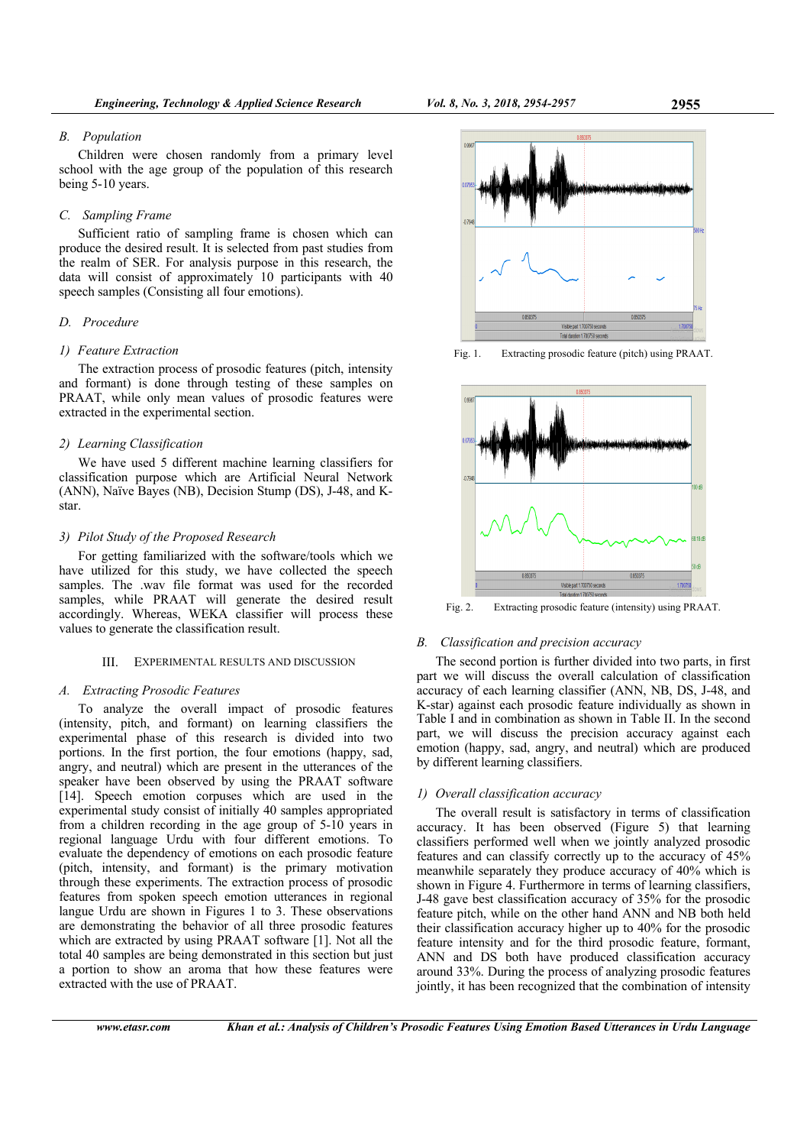#### *B. Population*

Children were chosen randomly from a primary level school with the age group of the population of this research being 5-10 years.

# *C. Sampling Frame*

Sufficient ratio of sampling frame is chosen which can produce the desired result. It is selected from past studies from the realm of SER. For analysis purpose in this research, the data will consist of approximately 10 participants with 40 speech samples (Consisting all four emotions).

## *D. Procedure*

#### *1) Feature Extraction*

The extraction process of prosodic features (pitch, intensity and formant) is done through testing of these samples on PRAAT, while only mean values of prosodic features were extracted in the experimental section.

## *2) Learning Classification*

We have used 5 different machine learning classifiers for classification purpose which are Artificial Neural Network (ANN), Naïve Bayes (NB), Decision Stump (DS), J-48, and Kstar.

#### *3) Pilot Study of the Proposed Research*

For getting familiarized with the software/tools which we have utilized for this study, we have collected the speech samples. The .wav file format was used for the recorded samples, while PRAAT will generate the desired result accordingly. Whereas, WEKA classifier will process these values to generate the classification result.

#### III. EXPERIMENTAL RESULTS AND DISCUSSION

## *A. Extracting Prosodic Features*

To analyze the overall impact of prosodic features (intensity, pitch, and formant) on learning classifiers the experimental phase of this research is divided into two portions. In the first portion, the four emotions (happy, sad, angry, and neutral) which are present in the utterances of the speaker have been observed by using the PRAAT software [14]. Speech emotion corpuses which are used in the experimental study consist of initially 40 samples appropriated from a children recording in the age group of 5-10 years in regional language Urdu with four different emotions. To evaluate the dependency of emotions on each prosodic feature (pitch, intensity, and formant) is the primary motivation through these experiments. The extraction process of prosodic features from spoken speech emotion utterances in regional langue Urdu are shown in Figures 1 to 3. These observations are demonstrating the behavior of all three prosodic features which are extracted by using PRAAT software [1]. Not all the total 40 samples are being demonstrated in this section but just a portion to show an aroma that how these features were extracted with the use of PRAAT.



Fig. 1. Extracting prosodic feature (pitch) using PRAAT.



Fig. 2. Extracting prosodic feature (intensity) using PRAAT.

#### *B. Classification and precision accuracy*

The second portion is further divided into two parts, in first part we will discuss the overall calculation of classification accuracy of each learning classifier (ANN, NB, DS, J-48, and K-star) against each prosodic feature individually as shown in Table I and in combination as shown in Table II. In the second part, we will discuss the precision accuracy against each emotion (happy, sad, angry, and neutral) which are produced by different learning classifiers.

## *1) Overall classification accuracy*

The overall result is satisfactory in terms of classification accuracy. It has been observed (Figure 5) that learning classifiers performed well when we jointly analyzed prosodic features and can classify correctly up to the accuracy of 45% meanwhile separately they produce accuracy of 40% which is shown in Figure 4. Furthermore in terms of learning classifiers, J-48 gave best classification accuracy of 35% for the prosodic feature pitch, while on the other hand ANN and NB both held their classification accuracy higher up to 40% for the prosodic feature intensity and for the third prosodic feature, formant, ANN and DS both have produced classification accuracy around 33%. During the process of analyzing prosodic features jointly, it has been recognized that the combination of intensity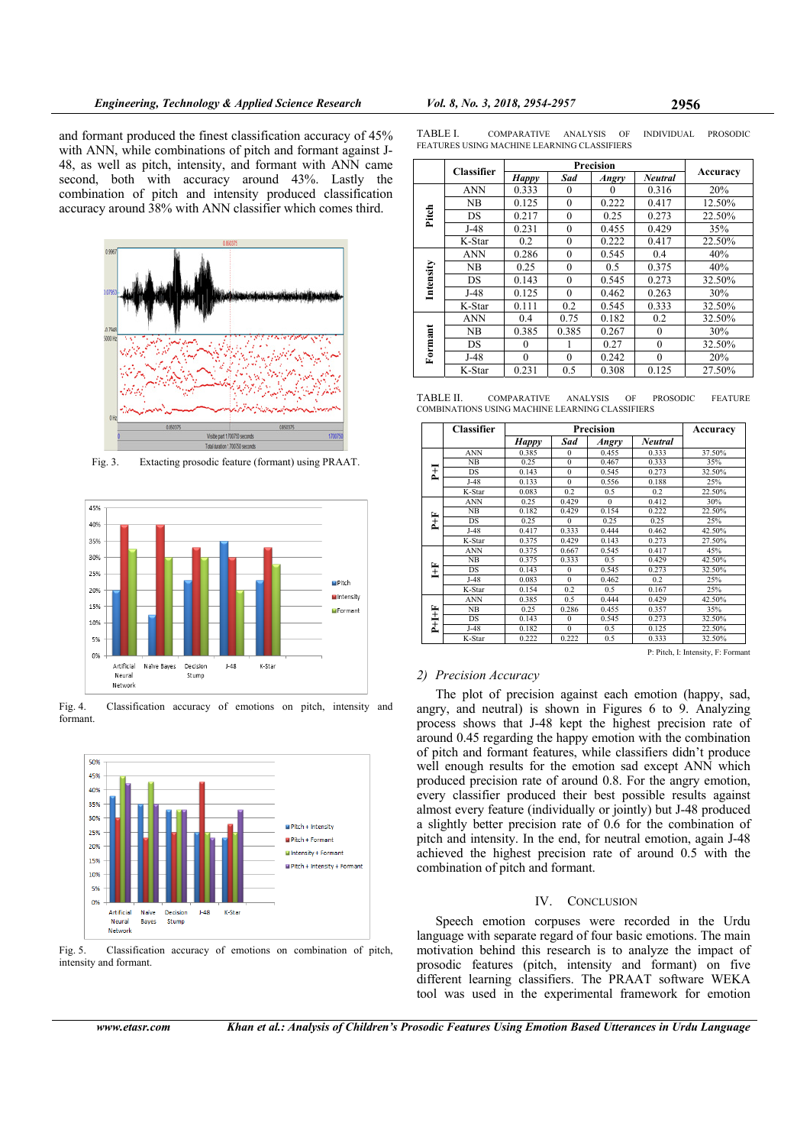and formant produced the finest classification accuracy of 45% with ANN, while combinations of pitch and formant against J-48, as well as pitch, intensity, and formant with ANN came second, both with accuracy around 43%. Lastly the combination of pitch and intensity produced classification accuracy around 38% with ANN classifier which comes third.



Fig. 3. Extacting prosodic feature (formant) using PRAAT.



Fig. 4. Classification accuracy of emotions on pitch, intensity and formant.



Fig. 5. Classification accuracy of emotions on combination of pitch, intensity and formant.

| TABLE I. | <b>COMPARATIVE</b>                          | <b>ANALYSIS</b> | <b>INDIVIDUAL</b> | <b>PROSODIC</b> |
|----------|---------------------------------------------|-----------------|-------------------|-----------------|
|          | FEATURES USING MACHINE LEARNING CLASSIFIERS |                 |                   |                 |

|           | <b>Classifier</b> | Precision    |              |          |                |          |  |
|-----------|-------------------|--------------|--------------|----------|----------------|----------|--|
|           |                   | <b>Happy</b> | Sad          | Angry    | <b>Neutral</b> | Accuracy |  |
| Pitch     | ANN               | 0.333        | $\Omega$     | $\Omega$ | 0.316          | 20%      |  |
|           | NΒ                | 0.125        | $\theta$     | 0.222    | 0.417          | 12.50%   |  |
|           | DS                | 0.217        | $\mathbf{0}$ | 0.25     | 0.273          | 22.50%   |  |
|           | $J-48$            | 0.231        | $\theta$     | 0.455    | 0.429          | 35%      |  |
|           | K-Star            | 0.2          | $\theta$     | 0.222    | 0.417          | 22.50%   |  |
| Intensity | ANN               | 0.286        | $\theta$     | 0.545    | 0.4            | 40%      |  |
|           | NB                | 0.25         | $\theta$     | 0.5      | 0.375          | 40%      |  |
|           | DS                | 0.143        | $\theta$     | 0.545    | 0.273          | 32.50%   |  |
|           | J-48              | 0.125        | $\theta$     | 0.462    | 0.263          | 30%      |  |
|           | K-Star            | 0.111        | 0.2          | 0.545    | 0.333          | 32.50%   |  |
| Formant   | ANN               | 0.4          | 0.75         | 0.182    | 0.2            | 32.50%   |  |
|           | NΒ                | 0.385        | 0.385        | 0.267    | $\theta$       | 30%      |  |
|           | DS                | $\Omega$     |              | 0.27     | $\theta$       | 32.50%   |  |
|           | $J-48$            | $\theta$     | $\theta$     | 0.242    | $\Omega$       | 20%      |  |
|           | K-Star            | 0.231        | 0.5          | 0.308    | 0.125          | 27.50%   |  |

TABLE II. COMPARATIVE ANALYSIS OF PROSODIC FEATURE COMBINATIONS USING MACHINE LEARNING CLASSIFIERS

|         | <b>Classifier</b> | Precision    |              |          |                | Accuracy |
|---------|-------------------|--------------|--------------|----------|----------------|----------|
|         |                   | <b>Happy</b> | Sad          | Angry    | <b>Neutral</b> |          |
| Į       | <b>ANN</b>        | 0.385        | $\Omega$     | 0.455    | 0.333          | 37.50%   |
|         | NB                | 0.25         | $\mathbf{0}$ | 0.467    | 0.333          | 35%      |
|         | <b>DS</b>         | 0.143        | $\mathbf{0}$ | 0.545    | 0.273          | 32.50%   |
|         | $J-48$            | 0.133        | $\Omega$     | 0.556    | 0.188          | 25%      |
|         | K-Star            | 0.083        | 0.2          | 0.5      | 0.2            | 22.50%   |
| i<br>L  | <b>ANN</b>        | 0.25         | 0.429        | $\Omega$ | 0.412          | 30%      |
|         | NB                | 0.182        | 0.429        | 0.154    | 0.222          | 22.50%   |
|         | <b>DS</b>         | 0.25         | $\theta$     | 0.25     | 0.25           | 25%      |
|         | $J-48$            | 0.417        | 0.333        | 0.444    | 0.462          | 42.50%   |
|         | K-Star            | 0.375        | 0.429        | 0.143    | 0.273          | 27.50%   |
| Ĩ       | <b>ANN</b>        | 0.375        | 0.667        | 0.545    | 0.417          | 45%      |
|         | NB                | 0.375        | 0.333        | 0.5      | 0.429          | 42.50%   |
|         | <b>DS</b>         | 0.143        | $\theta$     | 0.545    | 0.273          | 32.50%   |
|         | $J-48$            | 0.083        | $\Omega$     | 0.462    | 0.2            | 25%      |
|         | K-Star            | 0.154        | 0.2          | 0.5      | 0.167          | 25%      |
| $P+I+F$ | <b>ANN</b>        | 0.385        | 0.5          | 0.444    | 0.429          | 42.50%   |
|         | NB                | 0.25         | 0.286        | 0.455    | 0.357          | 35%      |
|         | <b>DS</b>         | 0.143        | $\Omega$     | 0.545    | 0.273          | 32.50%   |
|         | J-48              | 0.182        | $\mathbf{0}$ | 0.5      | 0.125          | 22.50%   |
|         | K-Star            | 0.222        | 0.222        | 0.5      | 0.333          | 32.50%   |

P: Pitch, I: Intensity, F: Formant

# *2) Precision Accuracy*

The plot of precision against each emotion (happy, sad, angry, and neutral) is shown in Figures 6 to 9. Analyzing process shows that J-48 kept the highest precision rate of around 0.45 regarding the happy emotion with the combination of pitch and formant features, while classifiers didn't produce well enough results for the emotion sad except ANN which produced precision rate of around 0.8. For the angry emotion, every classifier produced their best possible results against almost every feature (individually or jointly) but J-48 produced a slightly better precision rate of 0.6 for the combination of pitch and intensity. In the end, for neutral emotion, again J-48 achieved the highest precision rate of around 0.5 with the combination of pitch and formant.

# IV. CONCLUSION

Speech emotion corpuses were recorded in the Urdu language with separate regard of four basic emotions. The main motivation behind this research is to analyze the impact of prosodic features (pitch, intensity and formant) on five different learning classifiers. The PRAAT software WEKA tool was used in the experimental framework for emotion